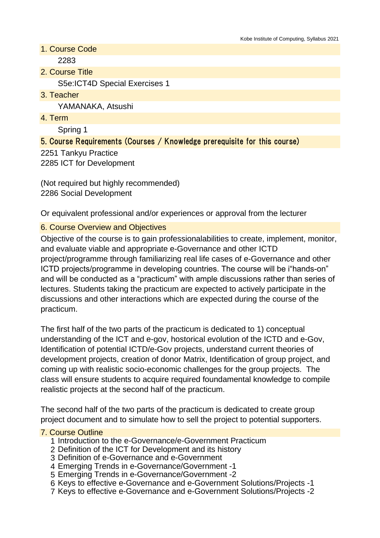- 1. Course Code 2283
- 2. Course Title S5e:ICT4D Special Exercises 1
- 3. Teacher

YAMANAKA, Atsushi

4. Term

Spring 1

## 5. Course Requirements (Courses / Knowledge prerequisite for this course)

2251 Tankyu Practice 2285 ICT for Development

(Not required but highly recommended) 2286 Social Development

Or equivalent professional and/or experiences or approval from the lecturer

#### 6. Course Overview and Objectives

Objective of the course is to gain professionalabilities to create, implement, monitor, and evaluate viable and appropriate e-Governance and other ICTD project/programme through familiarizing real life cases of e-Governance and other ICTD projects/programme in developing countries. The course will be i"hands-on" and will be conducted as a "practicum" with ample discussions rather than series of lectures. Students taking the practicum are expected to actively participate in the discussions and other interactions which are expected during the course of the practicum.

The first half of the two parts of the practicum is dedicated to 1) conceptual understanding of the ICT and e-gov, hostorical evolution of the ICTD and e-Gov, Identification of potential ICTD/e-Gov projects, understand current theories of development projects, creation of donor Matrix, Identification of group project, and coming up with realistic socio-economic challenges for the group projects. The class will ensure students to acquire required foundamental knowledge to compile realistic projects at the second half of the practicum.

The second half of the two parts of the practicum is dedicated to create group project document and to simulate how to sell the project to potential supporters.

#### 7. Course Outline

- 1 Introduction to the e-Governance/e-Government Practicum
- 2 Definition of the ICT for Development and its history
- 3 Definition of e-Governance and e-Government
- 4 Emerging Trends in e-Governance/Government -1
- 5 Emerging Trends in e-Governance/Government -2
- 6 Keys to effective e-Governance and e-Government Solutions/Projects -1
- 7 Keys to effective e-Governance and e-Government Solutions/Projects -2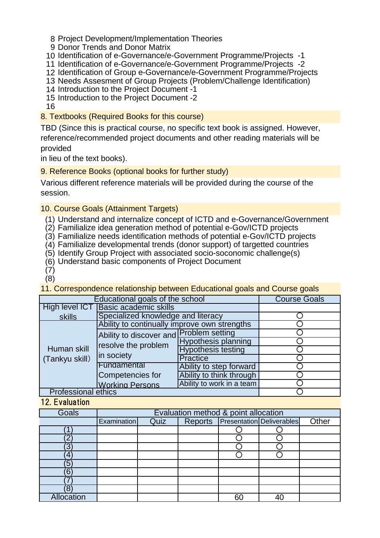- 8 Project Development/Implementation Theories
- 9 Donor Trends and Donor Matrix
- 10 Identification of e-Governance/e-Government Programme/Projects -1
- 11 Identification of e-Governance/e-Government Programme/Projects -2
- 12 Identification of Group e-Governance/e-Government Programme/Projects
- 13 Needs Assesment of Group Projects (Problem/Challenge Identification)
- 14 Introduction to the Project Document -1
- 15 Introduction to the Project Document -2

16

8. Textbooks (Required Books for this course)

TBD (Since this is practical course, no specific text book is assigned. However, reference/recommended project documents and other reading materials will be provided

in lieu of the text books).

9. Reference Books (optional books for further study)

Various different reference materials will be provided during the course of the session.

## 10. Course Goals (Attainment Targets)

- (1) Understand and internalize concept of ICTD and e-Governance/Government
- (2) Familialize idea generation method of potential e-Gov/ICTD projects
- (3) Familialize needs identification methods of potential e-Gov/ICTD projects
- (4) Familialize developmental trends (donor support) of targetted countries
- (5) Identify Group Project with associated socio-soconomic challenge(s)
- (6) Understand basic components of Project Document
- (7)

(8)

11. Correspondence relationship between Educational goals and Course goals

| Educational goals of the school | <b>Course Goals</b>                                                          |                            |  |  |  |
|---------------------------------|------------------------------------------------------------------------------|----------------------------|--|--|--|
| High level ICT                  | <b>Basic academic skills</b>                                                 |                            |  |  |  |
| skills                          | Specialized knowledge and literacy                                           |                            |  |  |  |
| Human skill<br>(Tankyu skill)   | Ability to continually improve own strengths                                 |                            |  |  |  |
|                                 | Ability to discover and Problem setting<br>resolve the problem<br>in society |                            |  |  |  |
|                                 |                                                                              | <b>Hypothesis planning</b> |  |  |  |
|                                 |                                                                              | <b>Hypothesis testing</b>  |  |  |  |
|                                 |                                                                              | <b>Practice</b>            |  |  |  |
|                                 | Fundamental                                                                  | Ability to step forward    |  |  |  |
|                                 | Competencies for                                                             | Ability to think through   |  |  |  |
|                                 | <b>Working Persons</b>                                                       | Ability to work in a team  |  |  |  |
| <b>Professional ethics</b>      |                                                                              |                            |  |  |  |

12. Evaluation

| <b>Goals</b>      | Evaluation method & point allocation |      |  |  |                                       |       |
|-------------------|--------------------------------------|------|--|--|---------------------------------------|-------|
|                   | <b>Examination</b>                   | Quiz |  |  | Reports   Presentation   Deliverables | Other |
|                   |                                      |      |  |  |                                       |       |
|                   |                                      |      |  |  |                                       |       |
|                   |                                      |      |  |  |                                       |       |
|                   |                                      |      |  |  |                                       |       |
| 5                 |                                      |      |  |  |                                       |       |
| 6                 |                                      |      |  |  |                                       |       |
|                   |                                      |      |  |  |                                       |       |
|                   |                                      |      |  |  |                                       |       |
| <b>Allocation</b> |                                      |      |  |  |                                       |       |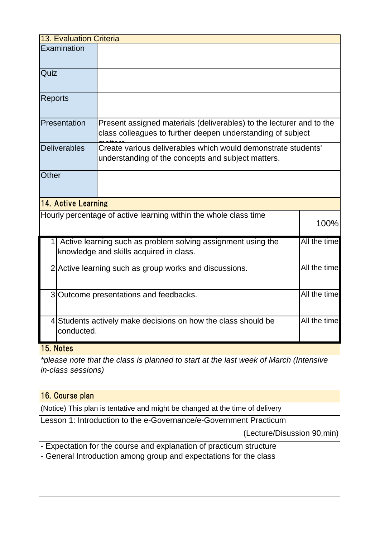| <b>13. Evaluation Criteria</b> |                                                                                                                         |                                                                                                                                     |      |  |  |
|--------------------------------|-------------------------------------------------------------------------------------------------------------------------|-------------------------------------------------------------------------------------------------------------------------------------|------|--|--|
|                                | Examination                                                                                                             |                                                                                                                                     |      |  |  |
| Quiz                           |                                                                                                                         |                                                                                                                                     |      |  |  |
| <b>Reports</b>                 |                                                                                                                         |                                                                                                                                     |      |  |  |
|                                | Presentation                                                                                                            | Present assigned materials (deliverables) to the lecturer and to the<br>class colleagues to further deepen understanding of subject |      |  |  |
|                                | <b>Deliverables</b>                                                                                                     | Create various deliverables which would demonstrate students'<br>understanding of the concepts and subject matters.                 |      |  |  |
| Other                          |                                                                                                                         |                                                                                                                                     |      |  |  |
|                                | <b>14. Active Learning</b>                                                                                              |                                                                                                                                     |      |  |  |
|                                |                                                                                                                         | Hourly percentage of active learning within the whole class time                                                                    | 100% |  |  |
|                                | All the time<br>Active learning such as problem solving assignment using the<br>knowledge and skills acquired in class. |                                                                                                                                     |      |  |  |
|                                | All the time<br>2 Active learning such as group works and discussions.                                                  |                                                                                                                                     |      |  |  |
|                                | All the time<br>3 Outcome presentations and feedbacks.                                                                  |                                                                                                                                     |      |  |  |
|                                | All the time<br>4 Students actively make decisions on how the class should be<br>conducted.                             |                                                                                                                                     |      |  |  |

### 15. Notes

*\*please note that the class is planned to start at the last week of March (Intensive in-class sessions)*

# 16. Course plan

(Notice) This plan is tentative and might be changed at the time of delivery

Lesson 1: Introduction to the e-Governance/e-Government Practicum

(Lecture/Disussion 90,min)

- Expectation for the course and explanation of practicum structure

- General Introduction among group and expectations for the class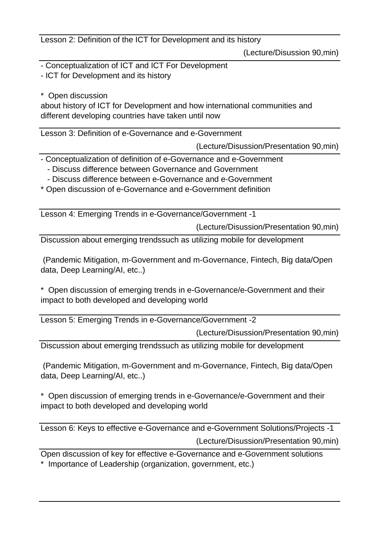Lesson 2: Definition of the ICT for Development and its history

(Lecture/Disussion 90,min)

- Conceptualization of ICT and ICT For Development
- ICT for Development and its history
- \* Open discussion

about history of ICT for Development and how international communities and different developing countries have taken until now

Lesson 3: Definition of e-Governance and e-Government

(Lecture/Disussion/Presentation 90,min)

- Conceptualization of definition of e-Governance and e-Government
	- Discuss difference between Governance and Government
	- Discuss difference between e-Governance and e-Government
- \* Open discussion of e-Governance and e-Government definition

Lesson 4: Emerging Trends in e-Governance/Government -1

(Lecture/Disussion/Presentation 90,min)

Discussion about emerging trendssuch as utilizing mobile for development

 (Pandemic Mitigation, m-Government and m-Governance, Fintech, Big data/Open data, Deep Learning/AI, etc..)

\* Open discussion of emerging trends in e-Governance/e-Government and their impact to both developed and developing world

Lesson 5: Emerging Trends in e-Governance/Government -2

(Lecture/Disussion/Presentation 90,min)

Discussion about emerging trendssuch as utilizing mobile for development

 (Pandemic Mitigation, m-Government and m-Governance, Fintech, Big data/Open data, Deep Learning/AI, etc..)

\* Open discussion of emerging trends in e-Governance/e-Government and their impact to both developed and developing world

(Lecture/Disussion/Presentation 90,min) Lesson 6: Keys to effective e-Governance and e-Government Solutions/Projects -1

Open discussion of key for effective e-Governance and e-Government solutions \* Importance of Leadership (organization, government, etc.)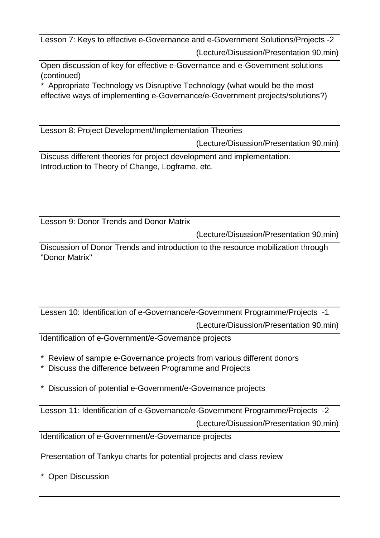(Lecture/Disussion/Presentation 90,min) Lesson 7: Keys to effective e-Governance and e-Government Solutions/Projects -2

Open discussion of key for effective e-Governance and e-Government solutions (continued)

Appropriate Technology vs Disruptive Technology (what would be the most effective ways of implementing e-Governance/e-Government projects/solutions?)

Lesson 8: Project Development/Implementation Theories

(Lecture/Disussion/Presentation 90,min)

Discuss different theories for project development and implementation. Introduction to Theory of Change, Logframe, etc.

Lesson 9: Donor Trends and Donor Matrix

(Lecture/Disussion/Presentation 90,min)

Discussion of Donor Trends and introduction to the resource mobilization through "Donor Matrix"

(Lecture/Disussion/Presentation 90,min) Lessen 10: Identification of e-Governance/e-Government Programme/Projects -1

Identification of e-Government/e-Governance projects

- Review of sample e-Governance projects from various different donors
- \* Discuss the difference between Programme and Projects
- \* Discussion of potential e-Government/e-Governance projects

Lesson 11: Identification of e-Governance/e-Government Programme/Projects -2

(Lecture/Disussion/Presentation 90,min)

Identification of e-Government/e-Governance projects

Presentation of Tankyu charts for potential projects and class review

\* Open Discussion